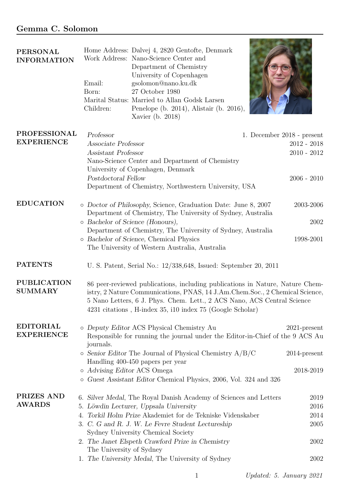## Gemma C. Solomon

| <b>PERSONAL</b><br><b>INFORMATION</b>    | Home Address: Dalvej 4, 2820 Gentofte, Denmark<br>Work Address: Nano-Science Center and<br>Department of Chemistry<br>University of Copenhagen<br>Email:<br>gsolomon@nano.ku.dk<br>27 October 1980<br>Born:<br>Marital Status: Married to Allan Godsk Larsen<br>Children:<br>Penelope (b. 2014), Alistair (b. 2016),<br>Xavier (b. 2018)                                                                  |                                                 |
|------------------------------------------|-----------------------------------------------------------------------------------------------------------------------------------------------------------------------------------------------------------------------------------------------------------------------------------------------------------------------------------------------------------------------------------------------------------|-------------------------------------------------|
| <b>PROFESSIONAL</b><br><b>EXPERIENCE</b> | Professor<br>1. December 2018 - present<br>Associate Professor<br>Assistant Professor<br>Nano-Science Center and Department of Chemistry<br>University of Copenhagen, Denmark<br>Postdoctoral Fellow<br>Department of Chemistry, Northwestern University, USA                                                                                                                                             | $2012 - 2018$<br>$2010 - 2012$<br>$2006 - 2010$ |
| <b>EDUCATION</b>                         | o Doctor of Philosophy, Science, Graduation Date: June 8, 2007<br>Department of Chemistry, The University of Sydney, Australia<br>o Bachelor of Science (Honours),<br>Department of Chemistry, The University of Sydney, Australia<br>o Bachelor of Science, Chemical Physics<br>The University of Western Australia, Australia                                                                           | 2003-2006<br>2002<br>1998-2001                  |
| <b>PATENTS</b>                           | U. S. Patent, Serial No.: 12/338,648, Issued: September 20, 2011                                                                                                                                                                                                                                                                                                                                          |                                                 |
| <b>PUBLICATION</b><br><b>SUMMARY</b>     | 86 peer-reviewed publications, including publications in Nature, Nature Chem-<br>istry, 2 Nature Communications, PNAS, 14 J.Am.Chem.Soc., 2 Chemical Science,<br>5 Nano Letters, 6 J. Phys. Chem. Lett., 2 ACS Nano, ACS Central Science<br>4231 citations, H-index 35, i10 index 75 (Google Scholar)                                                                                                     |                                                 |
| <b>EDITORIAL</b><br><b>EXPERIENCE</b>    | o Deputy Editor ACS Physical Chemistry Au<br>Responsible for running the journal under the Editor-in-Chief of the 9 ACS Au<br>journals.                                                                                                                                                                                                                                                                   | $2021$ -present                                 |
|                                          | $\circ$ Senior Editor The Journal of Physical Chemistry $A/B/C$<br>Handling 400-450 papers per year<br>o Advising Editor ACS Omega<br>o Guest Assistant Editor Chemical Physics, 2006, Vol. 324 and 326                                                                                                                                                                                                   | $2014$ -present<br>2018-2019                    |
| PRIZES AND<br><b>AWARDS</b>              | 6. Silver Medal, The Royal Danish Academy of Sciences and Letters<br>5. Löwdin Lecturer, Uppsala University<br>4. Torkil Holm Prize Akademiet for de Tekniske Videnskaber<br>3. C. G and R. J. W. Le Fevre Student Lectureship<br>Sydney University Chemical Society<br>2. The Janet Elspeth Crawford Prize in Chemistry<br>The University of Sydney<br>1. The University Medal, The University of Sydney | 2019<br>2016<br>2014<br>2005<br>2002<br>2002    |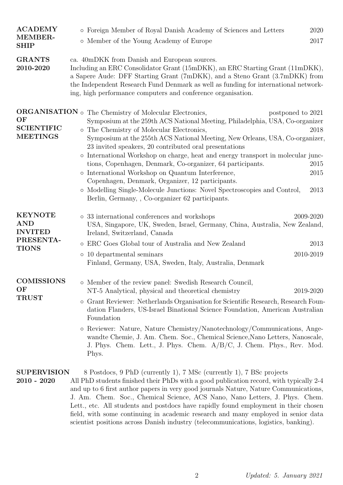| <b>ACADEMY</b>                                                              | o Foreign Member of Royal Danish Academy of Sciences and Letters                                                                                                                                                                                                                                                                                                                                                                                                                                                                                                                                                                                                                                                                                   | 2020                                              |
|-----------------------------------------------------------------------------|----------------------------------------------------------------------------------------------------------------------------------------------------------------------------------------------------------------------------------------------------------------------------------------------------------------------------------------------------------------------------------------------------------------------------------------------------------------------------------------------------------------------------------------------------------------------------------------------------------------------------------------------------------------------------------------------------------------------------------------------------|---------------------------------------------------|
| MEMBER-<br><b>SHIP</b>                                                      | o Member of the Young Academy of Europe                                                                                                                                                                                                                                                                                                                                                                                                                                                                                                                                                                                                                                                                                                            | 2017                                              |
| <b>GRANTS</b><br>2010-2020                                                  | ca. 40mDKK from Danish and European sources.<br>Including an ERC Consolidator Grant (15mDKK), an ERC Starting Grant (11mDKK),<br>a Sapere Aude: DFF Starting Grant (7mDKK), and a Steno Grant (3.7mDKK) from<br>the Independent Research Fund Denmark as well as funding for international network-<br>ing, high performance computers and conference organisation.                                                                                                                                                                                                                                                                                                                                                                                |                                                   |
| OF<br><b>SCIENTIFIC</b><br><b>MEETINGS</b>                                  | $\mathbf{ORGANISATION}$ $\circ$ The Chemistry of Molecular Electronics,<br>Symposium at the 259th ACS National Meeting, Philadelphia, USA, Co-organizer<br>o The Chemistry of Molecular Electronics,<br>Symposium at the 255th ACS National Meeting, New Orleans, USA, Co-organizer,<br>23 invited speakers, 20 contributed oral presentations<br>o International Workshop on charge, heat and energy transport in molecular junc-<br>tions, Copenhagen, Denmark, Co-organizer, 64 participants.<br>International Workshop on Quantum Interference,<br>$\circ$<br>Copenhagen, Denmark, Organizer, 12 participants.<br>o Modelling Single-Molecule Junctions: Novel Spectroscopies and Control,<br>Berlin, Germany, , Co-organizer 62 participants. | postponed to 2021<br>2018<br>2015<br>2015<br>2013 |
| <b>KEYNOTE</b><br><b>AND</b><br><b>INVITED</b><br>PRESENTA-<br><b>TIONS</b> | o 33 international conferences and workshops<br>USA, Singapore, UK, Sweden, Israel, Germany, China, Australia, New Zealand,<br>Ireland, Switzerland, Canada<br>ERC Goes Global tour of Australia and New Zealand<br>$\circ$<br>10 departmental seminars<br>O<br>Finland, Germany, USA, Sweden, Italy, Australia, Denmark                                                                                                                                                                                                                                                                                                                                                                                                                           | 2009-2020<br>2013<br>2010-2019                    |
| <b>COMISSIONS</b><br>OF<br><b>TRUST</b>                                     | o Member of the review panel: Swedish Research Council,<br>NT-5 Analytical, physical and theoretical chemistry<br>o Grant Reviewer: Netherlands Organisation for Scientific Research, Research Foun-<br>dation Flanders, US-Israel Binational Science Foundation, American Australian<br>Foundation<br>o Reviewer: Nature, Nature Chemistry/Nanotechnology/Communications, Ange-<br>wandte Chemie, J. Am. Chem. Soc., Chemical Science, Nano Letters, Nanoscale,<br>J. Phys. Chem. Lett., J. Phys. Chem. A/B/C, J. Chem. Phys., Rev. Mod.<br>Phys.                                                                                                                                                                                                 | 2019-2020                                         |
| <b>SUPERVISION</b><br>$2010 - 2020$                                         | 8 Postdocs, 9 PhD (currently 1), 7 MSc (currently 1), 7 BSc projects<br>All PhD students finished their PhDs with a good publication record, with typically 2-4                                                                                                                                                                                                                                                                                                                                                                                                                                                                                                                                                                                    |                                                   |

and up to 6 first author papers in very good journals Nature, Nature Communications, J. Am. Chem. Soc., Chemical Science, ACS Nano, Nano Letters, J. Phys. Chem. Lett., etc. All students and postdocs have rapidly found employment in their chosen field, with some continuing in academic research and many employed in senior data scientist positions across Danish industry (telecommunications, logistics, banking).